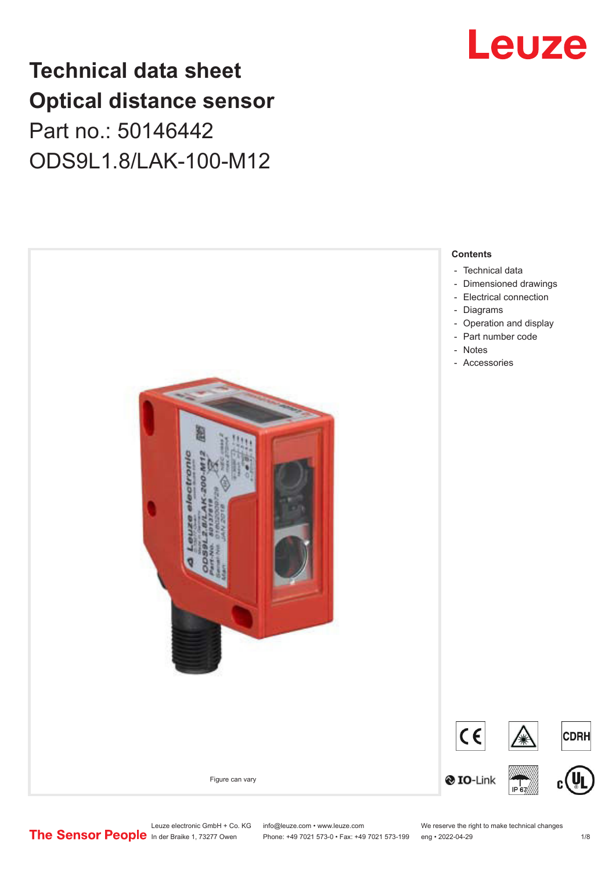## **Technical data sheet Optical distance sensor** Part no.: 50146442 ODS9L1.8/LAK-100-M12





Phone: +49 7021 573-0 • Fax: +49 7021 573-199 eng • 2022-04-29

Leuze electronic GmbH + Co. KG info@leuze.com • www.leuze.com We reserve the right to make technical changes<br> **The Sensor People** in der Braike 1, 73277 Owen Phone: +49 7021 573-0 • Fax: +49 7021 573-199 eng • 2022-04-29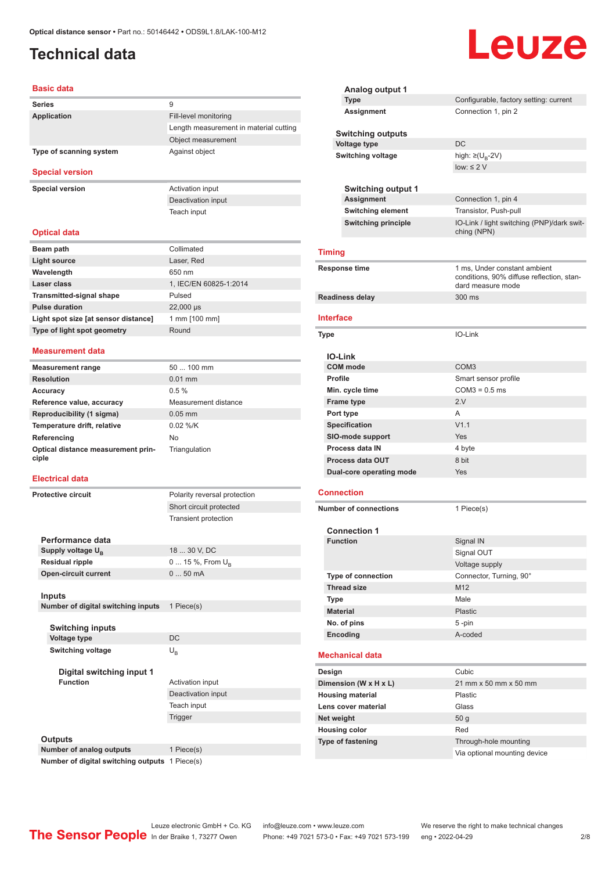## <span id="page-1-0"></span>**Technical data**

#### **Basic data**

| <b>Series</b>           | 9                                      |
|-------------------------|----------------------------------------|
| Application             | Fill-level monitoring                  |
|                         | Length measurement in material cutting |
|                         | Object measurement                     |
| Type of scanning system | Against object                         |

#### **Special version**

**Special version** Activation input

Deactivation input Teach input

#### **Optical data**

| Beam path                            | Collimated             |
|--------------------------------------|------------------------|
| Light source                         | Laser, Red             |
| Wavelength                           | 650 nm                 |
| Laser class                          | 1, IEC/EN 60825-1:2014 |
| <b>Transmitted-signal shape</b>      | Pulsed                 |
| <b>Pulse duration</b>                | 22,000 µs              |
| Light spot size [at sensor distance] | 1 mm [100 mm]          |
| Type of light spot geometry          | Round                  |

#### **Measurement data**

| $50100$ mm           |
|----------------------|
| $0.01$ mm            |
| 0.5%                 |
| Measurement distance |
| $0.05$ mm            |
| $0.02$ %/K           |
| No                   |
| Triangulation        |
|                      |

#### **Electrical data**

**Protective circuit** Polarity reversal protection Short circuit protected Transient protection **Performance data** Supply voltage U<sub>B</sub><br>Residual ripple 18 ... 30 V, DC **Resident 15 %, From U<sub>B</sub>**<br>**Resident 0 ... 50 mA Open-circuit current Inputs Number of digital switching inputs** 1 Piece(s) **Switching inputs Voltage type** DC **Switching voltage** U<sub>B</sub> **Digital switching input 1 Function Activation** input Deactivation input Teach input Trigger

#### **Outputs**

**Number of analog outputs** 1 Piece(s) **Number of digital switching outputs** 1 Piece(s)

|                         | Analog output 1                                   |                                                                                                |  |
|-------------------------|---------------------------------------------------|------------------------------------------------------------------------------------------------|--|
|                         | <b>Type</b>                                       | Configurable, factory setting: current                                                         |  |
|                         | Assignment                                        | Connection 1, pin 2                                                                            |  |
|                         | <b>Switching outputs</b>                          |                                                                                                |  |
|                         | <b>Voltage type</b>                               | DC                                                                                             |  |
|                         | <b>Switching voltage</b>                          | high: $\geq (U_{B} - 2V)$                                                                      |  |
|                         |                                                   | low: $\leq 2$ V                                                                                |  |
|                         |                                                   |                                                                                                |  |
|                         | <b>Switching output 1</b><br><b>Assignment</b>    | Connection 1, pin 4                                                                            |  |
|                         | <b>Switching element</b>                          | Transistor, Push-pull                                                                          |  |
|                         | <b>Switching principle</b>                        | IO-Link / light switching (PNP)/dark swit-                                                     |  |
|                         |                                                   | ching (NPN)                                                                                    |  |
|                         | <b>Timing</b>                                     |                                                                                                |  |
| Response time           |                                                   | 1 ms, Under constant ambient<br>conditions, 90% diffuse reflection, stan-<br>dard measure mode |  |
|                         | <b>Readiness delay</b>                            | 300 ms                                                                                         |  |
|                         | Interface                                         |                                                                                                |  |
|                         |                                                   |                                                                                                |  |
| Type                    |                                                   | IO-Link                                                                                        |  |
|                         |                                                   |                                                                                                |  |
|                         | <b>IO-Link</b><br><b>COM</b> mode                 | COM <sub>3</sub>                                                                               |  |
|                         | <b>Profile</b>                                    | Smart sensor profile                                                                           |  |
|                         | Min. cycle time                                   | $COM3 = 0.5$ ms                                                                                |  |
|                         |                                                   | 2.V                                                                                            |  |
|                         | <b>Frame type</b><br>Port type                    | A                                                                                              |  |
|                         | <b>Specification</b>                              | V1.1                                                                                           |  |
|                         |                                                   | <b>Yes</b>                                                                                     |  |
|                         | <b>SIO-mode support</b><br><b>Process data IN</b> | 4 byte                                                                                         |  |
|                         | <b>Process data OUT</b>                           | 8 bit                                                                                          |  |
|                         | Dual-core operating mode                          | Yes                                                                                            |  |
|                         |                                                   |                                                                                                |  |
|                         | <b>Connection</b>                                 |                                                                                                |  |
|                         | <b>Number of connections</b>                      | 1 Piece(s)                                                                                     |  |
|                         | <b>Connection 1</b>                               |                                                                                                |  |
|                         | <b>Function</b>                                   | Signal IN                                                                                      |  |
|                         |                                                   | Signal OUT                                                                                     |  |
|                         |                                                   | Voltage supply                                                                                 |  |
|                         | Type of connection                                | Connector, Turning, 90°                                                                        |  |
|                         | <b>Thread size</b>                                | M12                                                                                            |  |
|                         | Type                                              | Male                                                                                           |  |
|                         | <b>Material</b>                                   | Plastic                                                                                        |  |
|                         | No. of pins                                       | 5-pin                                                                                          |  |
|                         | Encoding                                          | A-coded                                                                                        |  |
|                         | <b>Mechanical data</b>                            |                                                                                                |  |
|                         | Design                                            | Cubic                                                                                          |  |
|                         | Dimension (W x H x L)                             | 21 mm x 50 mm x 50 mm                                                                          |  |
| <b>Housing material</b> |                                                   | Plastic                                                                                        |  |
|                         | Lens cover material                               | Glass                                                                                          |  |
|                         | Net weight                                        | 50 <sub>g</sub>                                                                                |  |
|                         | <b>Housing color</b>                              | Red                                                                                            |  |
|                         | <b>Type of fastening</b>                          | Through-hole mounting                                                                          |  |
|                         |                                                   | Via optional mounting device                                                                   |  |
|                         |                                                   |                                                                                                |  |

# Leuze

Leuze electronic GmbH + Co. KG info@leuze.com • www.leuze.com We reserve the right to make technical changes<br>
The Sensor People in der Braike 1, 73277 Owen Phone: +49 7021 573-0 • Fax: +49 7021 573-199 eng • 2022-04-29

Phone: +49 7021 573-0 • Fax: +49 7021 573-199 eng • 2022-04-29 2/8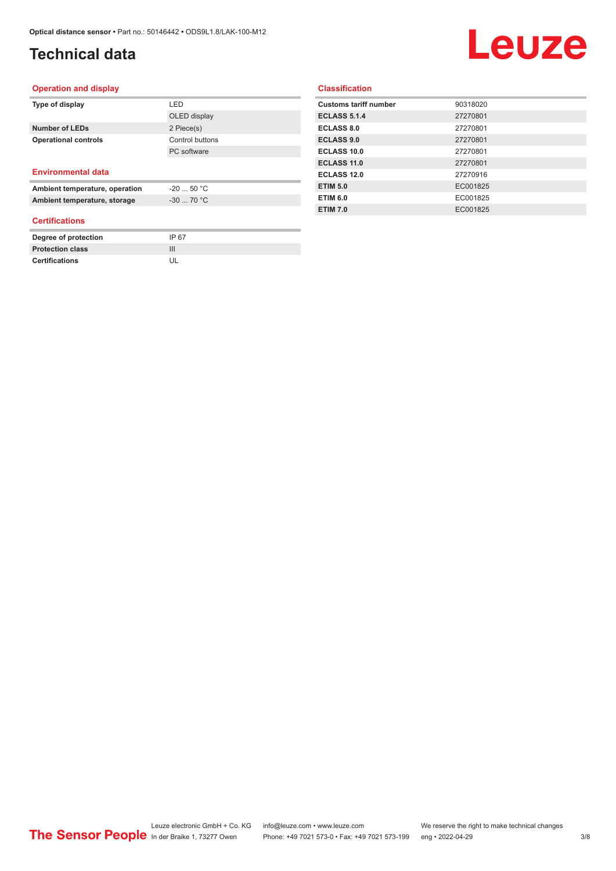## **Technical data**

## **Leuze**

#### **Operation and display**

| Type of display                | LED             |
|--------------------------------|-----------------|
|                                | OLED display    |
| <b>Number of LEDs</b>          | 2 Piece(s)      |
| <b>Operational controls</b>    | Control buttons |
|                                | PC software     |
|                                |                 |
| <b>Environmental data</b>      |                 |
| Ambient temperature, operation | $-2050 °C$      |
| Ambient temperature, storage   | $-3070 °C$      |

#### **Certifications**

| Degree of protection    | IP 67 |
|-------------------------|-------|
| <b>Protection class</b> |       |
| <b>Certifications</b>   |       |

#### **Classification**

| <b>Customs tariff number</b> | 90318020 |
|------------------------------|----------|
| <b>ECLASS 5.1.4</b>          | 27270801 |
| <b>ECLASS 8.0</b>            | 27270801 |
| <b>ECLASS 9.0</b>            | 27270801 |
| <b>ECLASS 10.0</b>           | 27270801 |
| <b>ECLASS 11.0</b>           | 27270801 |
| ECLASS 12.0                  | 27270916 |
| <b>ETIM 5.0</b>              | EC001825 |
| <b>ETIM 6.0</b>              | EC001825 |
| <b>ETIM 7.0</b>              | EC001825 |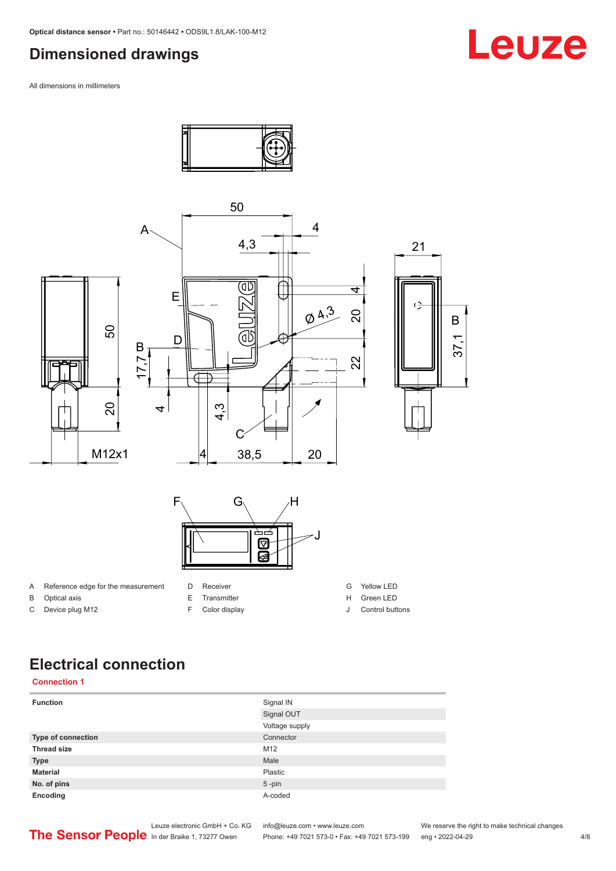## <span id="page-3-0"></span>**Dimensioned drawings**

All dimensions in millimeters



## Leuze

**Electrical connection**

#### **Connection 1**

| <b>Function</b>    | Signal IN      |
|--------------------|----------------|
|                    | Signal OUT     |
|                    | Voltage supply |
| Type of connection | Connector      |
| <b>Thread size</b> | M12            |
| <b>Type</b>        | Male           |
| <b>Material</b>    | Plastic        |
| No. of pins        | $5$ -pin       |
| Encoding           | A-coded        |

Leuze electronic GmbH + Co. KG info@leuze.com • www.leuze.com We reserve the right to make technical changes<br>
The Sensor People in der Braike 1, 73277 Owen Phone: +49 7021 573-0 • Fax: +49 7021 573-199 eng • 2022-04-29

Phone: +49 7021 573-0 • Fax: +49 7021 573-199 eng • 2022-04-29 4/8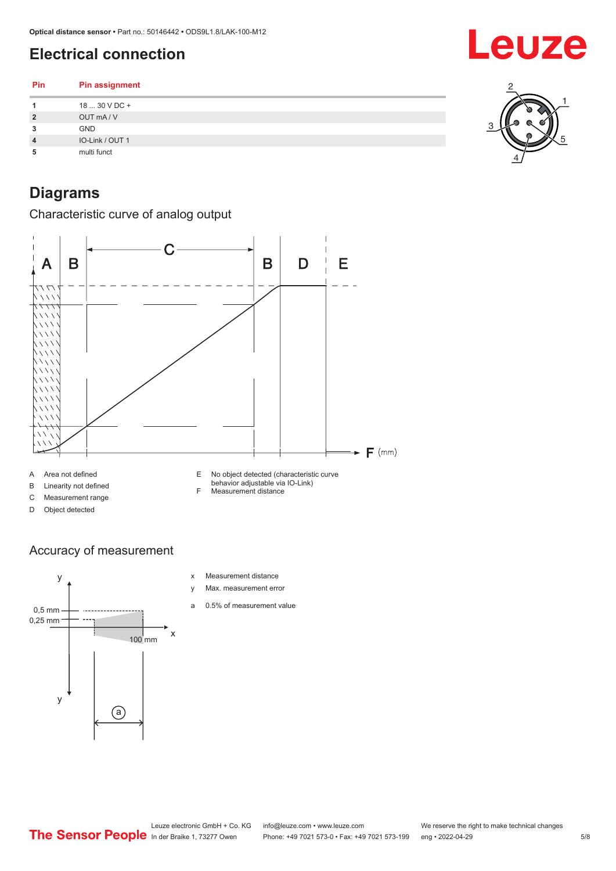## <span id="page-4-0"></span>**Electrical connection**

**Pin Pin assignment 1** 18 ... 30 V DC + **2** OUT mA / V **3** GND **4** IO-Link / OUT 1

**5** multi funct

## **Diagrams**

Characteristic curve of analog output



### Accuracy of measurement



- x Measurement distance
- y Max. measurement error
- a 0.5% of measurement value



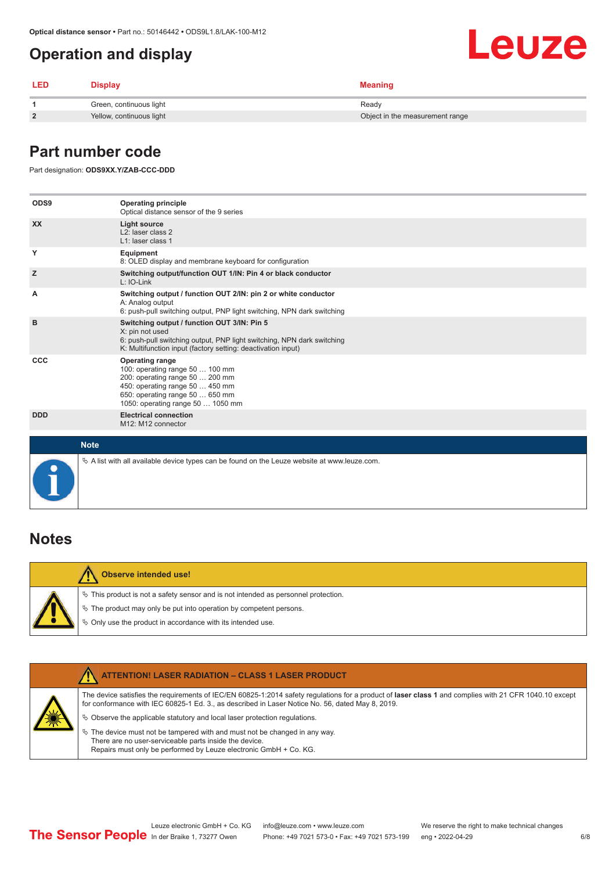## <span id="page-5-0"></span>**Operation and display**

| Leuze |  |
|-------|--|
|       |  |

÷

| <b>LED</b> | Display                  | <b>Meaning</b>                  |
|------------|--------------------------|---------------------------------|
|            | Green, continuous light  | Ready                           |
|            | Yellow, continuous light | Object in the measurement range |

### **Part number code**

Part designation: **ODS9XX.Y/ZAB-CCC-DDD**

| ODS9       | <b>Operating principle</b><br>Optical distance sensor of the 9 series                                                                                                                                    |
|------------|----------------------------------------------------------------------------------------------------------------------------------------------------------------------------------------------------------|
| <b>XX</b>  | <b>Light source</b><br>L <sub>2</sub> : laser class 2<br>L1: laser class 1                                                                                                                               |
| Y          | Equipment<br>8: OLED display and membrane keyboard for configuration                                                                                                                                     |
| z          | Switching output/function OUT 1/IN: Pin 4 or black conductor<br>$L: IO-Link$                                                                                                                             |
| A          | Switching output / function OUT 2/IN: pin 2 or white conductor<br>A: Analog output<br>6: push-pull switching output, PNP light switching, NPN dark switching                                             |
| B          | Switching output / function OUT 3/IN: Pin 5<br>X: pin not used<br>6: push-pull switching output, PNP light switching, NPN dark switching<br>K: Multifunction input (factory setting: deactivation input) |
| <b>CCC</b> | <b>Operating range</b><br>100: operating range 50  100 mm<br>200: operating range 50  200 mm<br>450: operating range 50  450 mm<br>650: operating range 50  650 mm<br>1050: operating range 50  1050 mm  |
| <b>DDD</b> | <b>Electrical connection</b><br>M12: M12 connector                                                                                                                                                       |
|            | <b>Note</b>                                                                                                                                                                                              |
|            | $\&$ A list with all available device types can be found on the Leuze website at www.leuze.com.                                                                                                          |

### **Notes**

|  | Observe intended use!                                                                 |
|--|---------------------------------------------------------------------------------------|
|  | $\%$ This product is not a safety sensor and is not intended as personnel protection. |
|  | $\%$ The product may only be put into operation by competent persons.                 |
|  | ♦ Only use the product in accordance with its intended use.                           |

|  | <b>ATTENTION! LASER RADIATION - CLASS 1 LASER PRODUCT</b>                                                                                                                                                                                                                                                                                   |
|--|---------------------------------------------------------------------------------------------------------------------------------------------------------------------------------------------------------------------------------------------------------------------------------------------------------------------------------------------|
|  | The device satisfies the requirements of IEC/EN 60825-1:2014 safety requlations for a product of laser class 1 and complies with 21 CFR 1040.10 except<br>for conformance with IEC 60825-1 Ed. 3., as described in Laser Notice No. 56, dated May 8, 2019.<br>$\&$ Observe the applicable statutory and local laser protection regulations. |
|  | $\%$ The device must not be tampered with and must not be changed in any way.<br>There are no user-serviceable parts inside the device.<br>Repairs must only be performed by Leuze electronic GmbH + Co. KG.                                                                                                                                |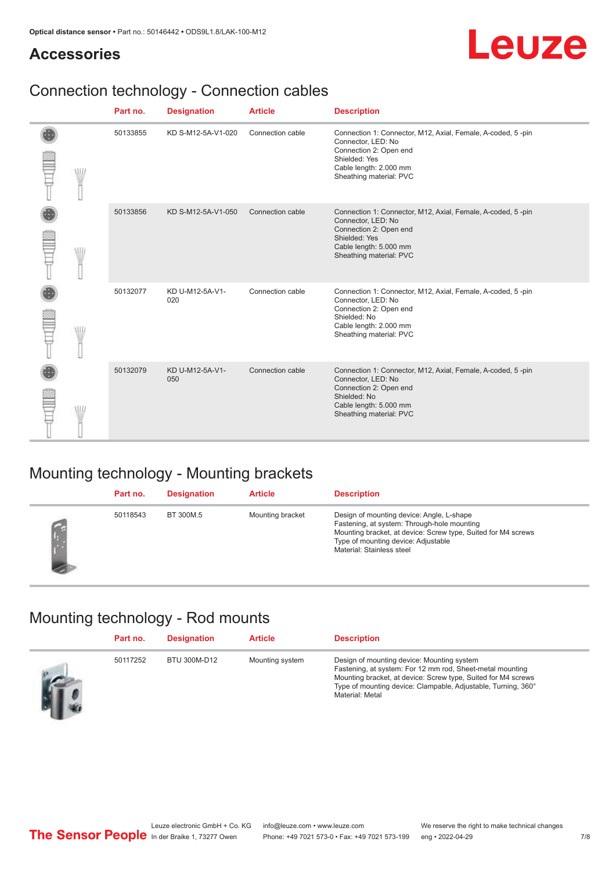## **Accessories**



## Connection technology - Connection cables

|            | Part no. | <b>Designation</b>     | <b>Article</b>   | <b>Description</b>                                                                                                                                                                |
|------------|----------|------------------------|------------------|-----------------------------------------------------------------------------------------------------------------------------------------------------------------------------------|
| W          | 50133855 | KD S-M12-5A-V1-020     | Connection cable | Connection 1: Connector, M12, Axial, Female, A-coded, 5-pin<br>Connector, LED: No<br>Connection 2: Open end<br>Shielded: Yes<br>Cable length: 2.000 mm<br>Sheathing material: PVC |
|            | 50133856 | KD S-M12-5A-V1-050     | Connection cable | Connection 1: Connector, M12, Axial, Female, A-coded, 5-pin<br>Connector, LED: No<br>Connection 2: Open end<br>Shielded: Yes<br>Cable length: 5.000 mm<br>Sheathing material: PVC |
| <b>MIL</b> | 50132077 | KD U-M12-5A-V1-<br>020 | Connection cable | Connection 1: Connector, M12, Axial, Female, A-coded, 5-pin<br>Connector, LED: No<br>Connection 2: Open end<br>Shielded: No<br>Cable length: 2.000 mm<br>Sheathing material: PVC  |
|            | 50132079 | KD U-M12-5A-V1-<br>050 | Connection cable | Connection 1: Connector, M12, Axial, Female, A-coded, 5-pin<br>Connector, LED: No<br>Connection 2: Open end<br>Shielded: No<br>Cable length: 5.000 mm<br>Sheathing material: PVC  |

## Mounting technology - Mounting brackets

| Part no. | <b>Designation</b> | <b>Article</b>   | <b>Description</b>                                                                                                                                                                                                            |
|----------|--------------------|------------------|-------------------------------------------------------------------------------------------------------------------------------------------------------------------------------------------------------------------------------|
| 50118543 | BT 300M.5          | Mounting bracket | Design of mounting device: Angle, L-shape<br>Fastening, at system: Through-hole mounting<br>Mounting bracket, at device: Screw type, Suited for M4 screws<br>Type of mounting device: Adjustable<br>Material: Stainless steel |

## Mounting technology - Rod mounts

| Part no. | <b>Designation</b> | <b>Article</b>  | <b>Description</b>                                                                                                                                                                                                                                           |
|----------|--------------------|-----------------|--------------------------------------------------------------------------------------------------------------------------------------------------------------------------------------------------------------------------------------------------------------|
| 50117252 | BTU 300M-D12       | Mounting system | Design of mounting device: Mounting system<br>Fastening, at system: For 12 mm rod, Sheet-metal mounting<br>Mounting bracket, at device: Screw type, Suited for M4 screws<br>Type of mounting device: Clampable, Adjustable, Turning, 360°<br>Material: Metal |